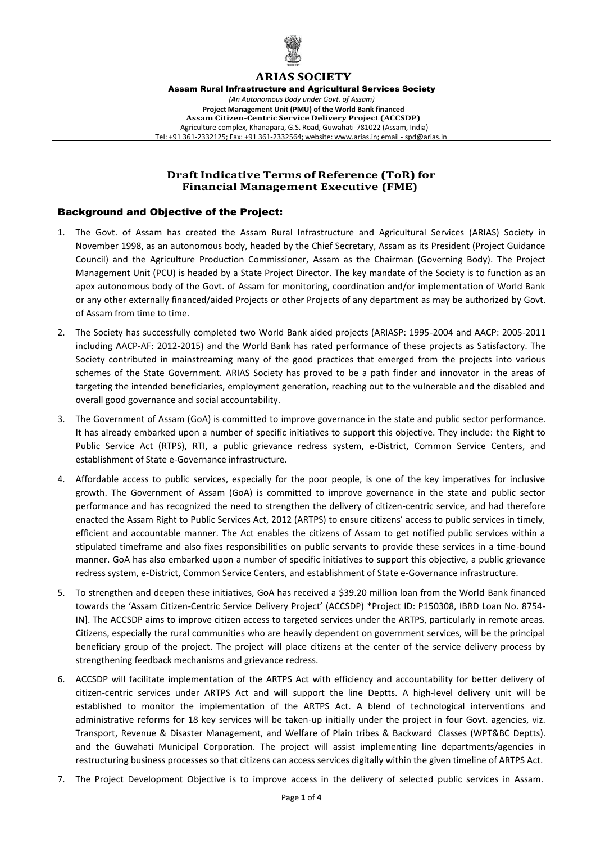

# **ARIAS SOCIETY**

Assam Rural Infrastructure and Agricultural Services Society *(An Autonomous Body under Govt. of Assam)* **Project Management Unit (PMU) of the World Bank financed Assam Citizen-Centric Service Delivery Project (ACCSDP)** Agriculture complex, Khanapara, G.S. Road, Guwahati-781022 (Assam, India) Tel: +91 361-2332125; Fax: +91 361-2332564; website: [www.arias.in;](mailto:www.arias.in%3Bemail-spd@arias.in) email - spd@arias.in

### **Draft Indicative Terms of Reference (ToR) for Financial Management Executive (FME)**

### Background and Objective of the Project:

- 1. The Govt. of Assam has created the Assam Rural Infrastructure and Agricultural Services (ARIAS) Society in November 1998, as an autonomous body, headed by the Chief Secretary, Assam as its President (Project Guidance Council) and the Agriculture Production Commissioner, Assam as the Chairman (Governing Body). The Project Management Unit (PCU) is headed by a State Project Director. The key mandate of the Society is to function as an apex autonomous body of the Govt. of Assam for monitoring, coordination and/or implementation of World Bank or any other externally financed/aided Projects or other Projects of any department as may be authorized by Govt. of Assam from time to time.
- 2. The Society has successfully completed two World Bank aided projects (ARIASP: 1995-2004 and AACP: 2005-2011 including AACP-AF: 2012-2015) and the World Bank has rated performance of these projects as Satisfactory. The Society contributed in mainstreaming many of the good practices that emerged from the projects into various schemes of the State Government. ARIAS Society has proved to be a path finder and innovator in the areas of targeting the intended beneficiaries, employment generation, reaching out to the vulnerable and the disabled and overall good governance and social accountability.
- 3. The Government of Assam (GoA) is committed to improve governance in the state and public sector performance. It has already embarked upon a number of specific initiatives to support this objective. They include: the Right to Public Service Act (RTPS), RTI, a public grievance redress system, e-District, Common Service Centers, and establishment of State e-Governance infrastructure.
- 4. Affordable access to public services, especially for the poor people, is one of the key imperatives for inclusive growth. The Government of Assam (GoA) is committed to improve governance in the state and public sector performance and has recognized the need to strengthen the delivery of citizen-centric service, and had therefore enacted the Assam Right to Public Services Act, 2012 (ARTPS) to ensure citizens' access to public services in timely, efficient and accountable manner. The Act enables the citizens of Assam to get notified public services within a stipulated timeframe and also fixes responsibilities on public servants to provide these services in a time-bound manner. GoA has also embarked upon a number of specific initiatives to support this objective, a public grievance redress system, e-District, Common Service Centers, and establishment of State e-Governance infrastructure.
- 5. To strengthen and deepen these initiatives, GoA has received a \$39.20 million loan from the World Bank financed towards the 'Assam Citizen-Centric Service Delivery Project' (ACCSDP) \*Project ID: P150308, IBRD Loan No. 8754- IN]. The ACCSDP aims to improve citizen access to targeted services under the ARTPS, particularly in remote areas. Citizens, especially the rural communities who are heavily dependent on government services, will be the principal beneficiary group of the project. The project will place citizens at the center of the service delivery process by strengthening feedback mechanisms and grievance redress.
- 6. ACCSDP will facilitate implementation of the ARTPS Act with efficiency and accountability for better delivery of citizen-centric services under ARTPS Act and will support the line Deptts. A high-level delivery unit will be established to monitor the implementation of the ARTPS Act. A blend of technological interventions and administrative reforms for 18 key services will be taken-up initially under the project in four Govt. agencies, viz. Transport, Revenue & Disaster Management, and Welfare of Plain tribes & Backward Classes (WPT&BC Deptts). and the Guwahati Municipal Corporation. The project will assist implementing line departments/agencies in restructuring business processes so that citizens can access services digitally within the given timeline of ARTPS Act.
- 7. The Project Development Objective is to improve access in the delivery of selected public services in Assam.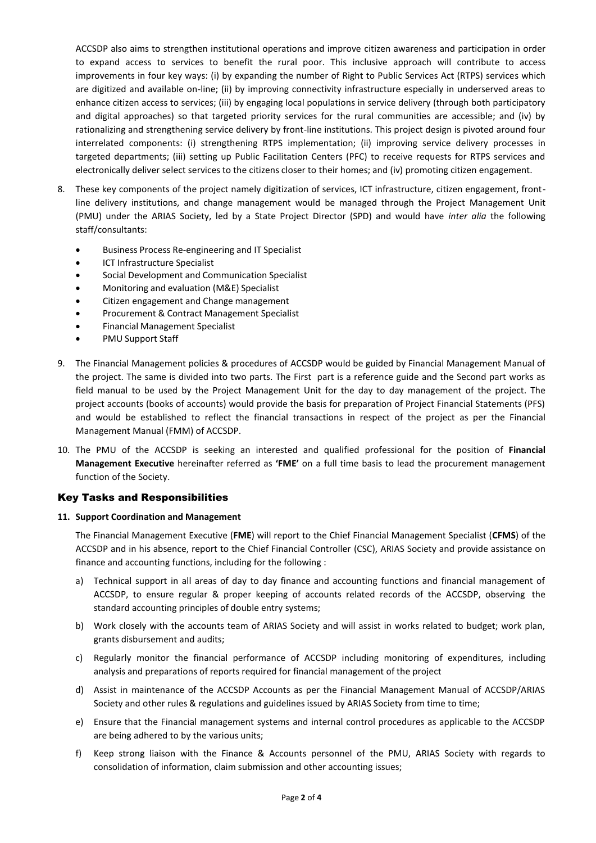ACCSDP also aims to strengthen institutional operations and improve citizen awareness and participation in order to expand access to services to benefit the rural poor. This inclusive approach will contribute to access improvements in four key ways: (i) by expanding the number of Right to Public Services Act (RTPS) services which are digitized and available on-line; (ii) by improving connectivity infrastructure especially in underserved areas to enhance citizen access to services; (iii) by engaging local populations in service delivery (through both participatory and digital approaches) so that targeted priority services for the rural communities are accessible; and (iv) by rationalizing and strengthening service delivery by front-line institutions. This project design is pivoted around four interrelated components: (i) strengthening RTPS implementation; (ii) improving service delivery processes in targeted departments; (iii) setting up Public Facilitation Centers (PFC) to receive requests for RTPS services and electronically deliver select services to the citizens closer to their homes; and (iv) promoting citizen engagement.

- 8. These key components of the project namely digitization of services, ICT infrastructure, citizen engagement, frontline delivery institutions, and change management would be managed through the Project Management Unit (PMU) under the ARIAS Society, led by a State Project Director (SPD) and would have *inter alia* the following staff/consultants:
	- Business Process Re-engineering and IT Specialist
	- ICT Infrastructure Specialist
	- Social Development and Communication Specialist
	- Monitoring and evaluation (M&E) Specialist
	- Citizen engagement and Change management
	- Procurement & Contract Management Specialist
	- Financial Management Specialist
	- PMU Support Staff
- 9. The Financial Management policies & procedures of ACCSDP would be guided by Financial Management Manual of the project. The same is divided into two parts. The First part is a reference guide and the Second part works as field manual to be used by the Project Management Unit for the day to day management of the project. The project accounts (books of accounts) would provide the basis for preparation of Project Financial Statements (PFS) and would be established to reflect the financial transactions in respect of the project as per the Financial Management Manual (FMM) of ACCSDP.
- 10. The PMU of the ACCSDP is seeking an interested and qualified professional for the position of **Financial Management Executive** hereinafter referred as **'FME'** on a full time basis to lead the procurement management function of the Society.

## Key Tasks and Responsibilities

#### **11. Support Coordination and Management**

The Financial Management Executive (**FME**) will report to the Chief Financial Management Specialist (**CFMS**) of the ACCSDP and in his absence, report to the Chief Financial Controller (CSC), ARIAS Society and provide assistance on finance and accounting functions, including for the following :

- a) Technical support in all areas of day to day finance and accounting functions and financial management of ACCSDP, to ensure regular & proper keeping of accounts related records of the ACCSDP, observing the standard accounting principles of double entry systems;
- b) Work closely with the accounts team of ARIAS Society and will assist in works related to budget; work plan, grants disbursement and audits;
- c) Regularly monitor the financial performance of ACCSDP including monitoring of expenditures, including analysis and preparations of reports required for financial management of the project
- d) Assist in maintenance of the ACCSDP Accounts as per the Financial Management Manual of ACCSDP/ARIAS Society and other rules & regulations and guidelines issued by ARIAS Society from time to time;
- e) Ensure that the Financial management systems and internal control procedures as applicable to the ACCSDP are being adhered to by the various units;
- f) Keep strong liaison with the Finance & Accounts personnel of the PMU, ARIAS Society with regards to consolidation of information, claim submission and other accounting issues;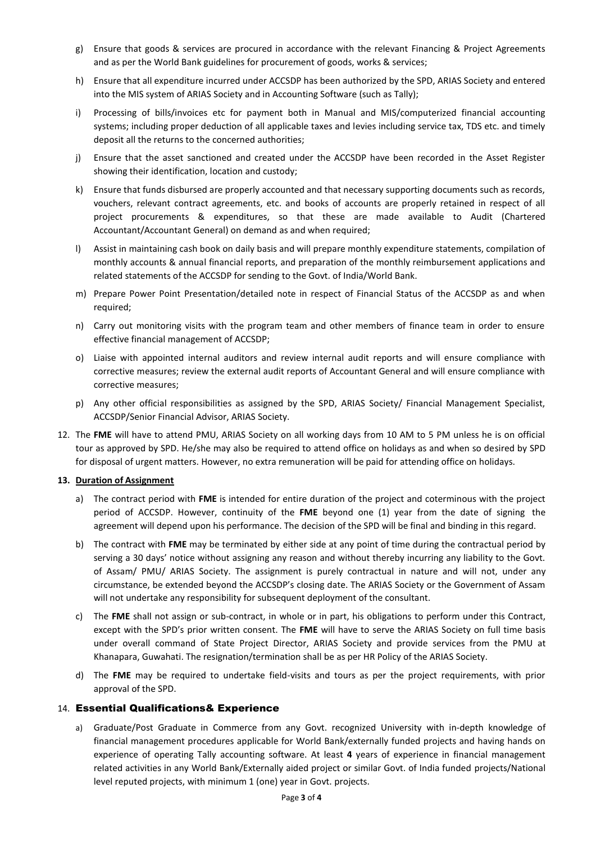- g) Ensure that goods & services are procured in accordance with the relevant Financing & Project Agreements and as per the World Bank guidelines for procurement of goods, works & services;
- h) Ensure that all expenditure incurred under ACCSDP has been authorized by the SPD, ARIAS Society and entered into the MIS system of ARIAS Society and in Accounting Software (such as Tally);
- i) Processing of bills/invoices etc for payment both in Manual and MIS/computerized financial accounting systems; including proper deduction of all applicable taxes and levies including service tax, TDS etc. and timely deposit all the returns to the concerned authorities;
- j) Ensure that the asset sanctioned and created under the ACCSDP have been recorded in the Asset Register showing their identification, location and custody;
- k) Ensure that funds disbursed are properly accounted and that necessary supporting documents such as records, vouchers, relevant contract agreements, etc. and books of accounts are properly retained in respect of all project procurements & expenditures, so that these are made available to Audit (Chartered Accountant/Accountant General) on demand as and when required;
- l) Assist in maintaining cash book on daily basis and will prepare monthly expenditure statements, compilation of monthly accounts & annual financial reports, and preparation of the monthly reimbursement applications and related statements of the ACCSDP for sending to the Govt. of India/World Bank.
- m) Prepare Power Point Presentation/detailed note in respect of Financial Status of the ACCSDP as and when required;
- n) Carry out monitoring visits with the program team and other members of finance team in order to ensure effective financial management of ACCSDP;
- o) Liaise with appointed internal auditors and review internal audit reports and will ensure compliance with corrective measures; review the external audit reports of Accountant General and will ensure compliance with corrective measures;
- p) Any other official responsibilities as assigned by the SPD, ARIAS Society/ Financial Management Specialist, ACCSDP/Senior Financial Advisor, ARIAS Society.
- 12. The **FME** will have to attend PMU, ARIAS Society on all working days from 10 AM to 5 PM unless he is on official tour as approved by SPD. He/she may also be required to attend office on holidays as and when so desired by SPD for disposal of urgent matters. However, no extra remuneration will be paid for attending office on holidays.

### **13. Duration of Assignment**

- a) The contract period with **FME** is intended for entire duration of the project and coterminous with the project period of ACCSDP. However, continuity of the **FME** beyond one (1) year from the date of signing the agreement will depend upon his performance. The decision of the SPD will be final and binding in this regard.
- b) The contract with **FME** may be terminated by either side at any point of time during the contractual period by serving a 30 days' notice without assigning any reason and without thereby incurring any liability to the Govt. of Assam/ PMU/ ARIAS Society. The assignment is purely contractual in nature and will not, under any circumstance, be extended beyond the ACCSDP's closing date. The ARIAS Society or the Government of Assam will not undertake any responsibility for subsequent deployment of the consultant.
- c) The **FME** shall not assign or sub-contract, in whole or in part, his obligations to perform under this Contract, except with the SPD's prior written consent. The **FME** will have to serve the ARIAS Society on full time basis under overall command of State Project Director, ARIAS Society and provide services from the PMU at Khanapara, Guwahati. The resignation/termination shall be as per HR Policy of the ARIAS Society.
- d) The **FME** may be required to undertake field-visits and tours as per the project requirements, with prior approval of the SPD.

## 14. Essential Qualifications& Experience

a) Graduate/Post Graduate in Commerce from any Govt. recognized University with in-depth knowledge of financial management procedures applicable for World Bank/externally funded projects and having hands on experience of operating Tally accounting software. At least **4** years of experience in financial management related activities in any World Bank/Externally aided project or similar Govt. of India funded projects/National level reputed projects, with minimum 1 (one) year in Govt. projects.